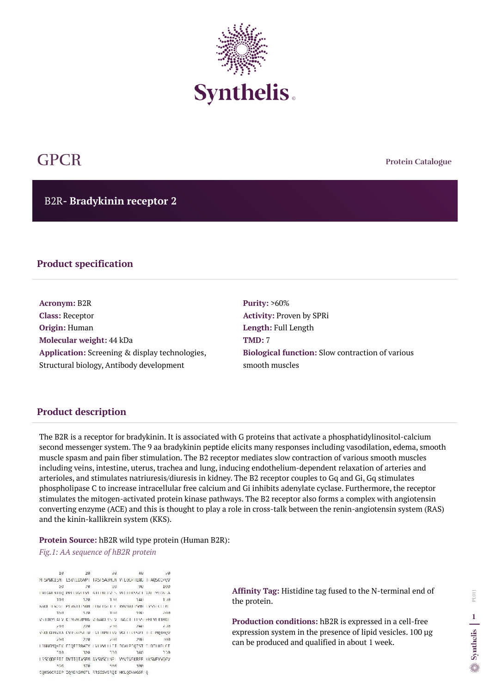**Protein Catalogue**

B2R**- Bradykinin receptor 2**



# GPCR

## **Product specification**

**Acronym:** B2R **Class:** Receptor **Origin:** Human **Molecular weight:** 44 kDa **Application:** Screening & display technologies, Structural biology, Antibody development

**Purity:** >60% **Activity:** Proven by SPRi **Length:** Full Length **TMD:** 7 **Biological function:** Slow contraction of various smooth muscles

## **Product description**

The B2R is a receptor for bradykinin. It is associated with G proteins that activate a phosphatidylinositol-calcium second messenger system. The 9 aa bradykinin peptide elicits many responses including vasodilation, edema, smooth muscle spasm and pain fiber stimulation. The B2 receptor mediates slow contraction of various smooth muscles including veins, intestine, uterus, trachea and lung, inducing endothelium-dependent relaxation of arteries and arterioles, and stimulates natriuresis/diuresis in kidney. The B2 receptor couples to Gq and Gi, Gq stimulates phospholipase C to increase intracellular free calcium and Gi inhibits adenylate cyclase. Furthermore, the receptor stimulates the mitogen-activated protein kinase pathways. The B2 receptor also forms a complex with angiotensin converting enzyme (ACE) and this is thought to play a role in cross-talk between the renin-angiotensin system (RAS) and the kinin-kallikrein system (KKS).

#### **Protein Source:** hB2R wild type protein (Human B2R):

*Fig.1: AA sequence of hB2R protein* 

16  $20$ 38  $40$  $50$ MESPWK15ME LSVRLDSVPT TASTSADMEN VTLQGPTLNG TEAQSKCPQV 50 70 268 90 160 FWLGMENTIC PPELWVITVE ATTENTEVES VECHIKSSCE VALTYLGNEA 116 120 1 113  $7481$  $1.43$ AADE FEACOF PERATTESNIN TOWELGET C. RVVNATTSPIN TYSS CEEN. 790 158  $7/0$ 1298 2693 VS HORYLATV, KTNSMGR/RKG, VENAKLYSTV, TMGCT LLESS, PMEVERTMKE, 218 -220 2.113  $7411$  $2 - 13$ YSDLGDNYTA CVTSYPSERM TVL DIMELNY VGLEEPLSVT TECHNQUNQV 258.  $2/0$ 7793 290 9819 LRMMEMQKEK ETQIERRATV LVIVVLLLET TCHLPEQIST ELDTLHRLCE  $718.$ 320 338  $340$  $750$ LSSCODERIT DVITQTASEM AYSNSCLNP VYVIVGKRER KKSMEVYQGV 368  $370$ 388 398 CQKGGCRSEP IQMENSMGTL RTSISVERQI HKLQDWAGSR Q

**Affinity Tag:** Histidine tag fused to the N-terminal end of the protein.

**Production conditions:** hB2R is expressed in a cell-free expression system in the presence of lipid vesicles. 100 µg can be produced and qualified in about 1 week.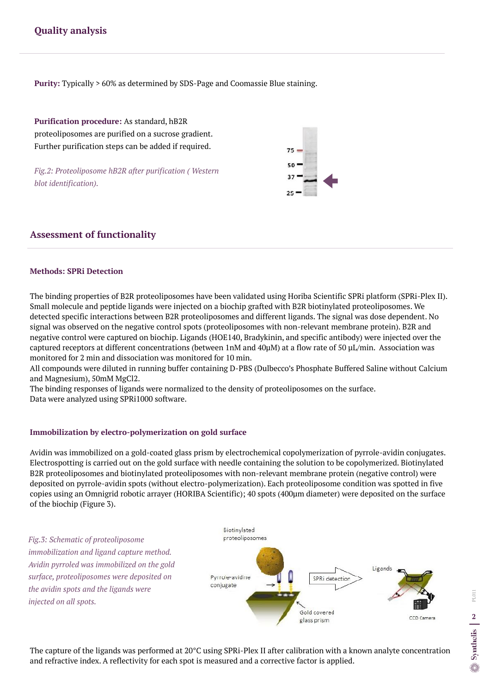## **Quality analysis**

**Purity:** Typically > 60% as determined by SDS-Page and Coomassie Blue staining.

**Purification procedure:** As standard, hB2R proteoliposomes are purified on a sucrose gradient. Further purification steps can be added if required.

*Fig.2: Proteoliposome hB2R after purification ( Western blot identification).* 



## **Assessment of functionality**

#### **Methods: SPRi Detection**

The binding properties of B2R proteoliposomes have been validated using Horiba Scientific SPRi platform (SPRi-Plex II). Small molecule and peptide ligands were injected on a biochip grafted with B2R biotinylated proteoliposomes. We detected specific interactions between B2R proteoliposomes and different ligands. The signal was dose dependent. No signal was observed on the negative control spots (proteoliposomes with non-relevant membrane protein). B2R and negative control were captured on biochip. Ligands (HOE140, Bradykinin, and specific antibody) were injected over the captured receptors at different concentrations (between 1nM and 40µM) at a flow rate of 50 µL/min. Association was monitored for 2 min and dissociation was monitored for 10 min.

All compounds were diluted in running buffer containing D-PBS (Dulbecco's Phosphate Buffered Saline without Calcium

and Magnesium), 50mM MgCl2.

The binding responses of ligands were normalized to the density of proteoliposomes on the surface. Data were analyzed using SPRi1000 software.

#### **Immobilization by electro-polymerization on gold surface**

Avidin was immobilized on a gold-coated glass prism by electrochemical copolymerization of pyrrole-avidin conjugates. Electrospotting is carried out on the gold surface with needle containing the solution to be copolymerized. Biotinylated B2R proteoliposomes and biotinylated proteoliposomes with non-relevant membrane protein (negative control) were deposited on pyrrole-avidin spots (without electro-polymerization). Each proteoliposome condition was spotted in five copies using an Omnigrid robotic arrayer (HORIBA Scientific); 40 spots (400µm diameter) were deposited on the surface of the biochip (Figure 3).

The capture of the ligands was performed at 20°C using SPRi-Plex II after calibration with a known analyte concentration and refractive index. A reflectivity for each spot is measured and a corrective factor is applied.

*Fig.3: Schematic of proteoliposome immobilization and ligand capture method. Avidin pyrroled was immobilized on the gold surface, proteoliposomes were deposited on the avidin spots and the ligands were injected on all spots.* 

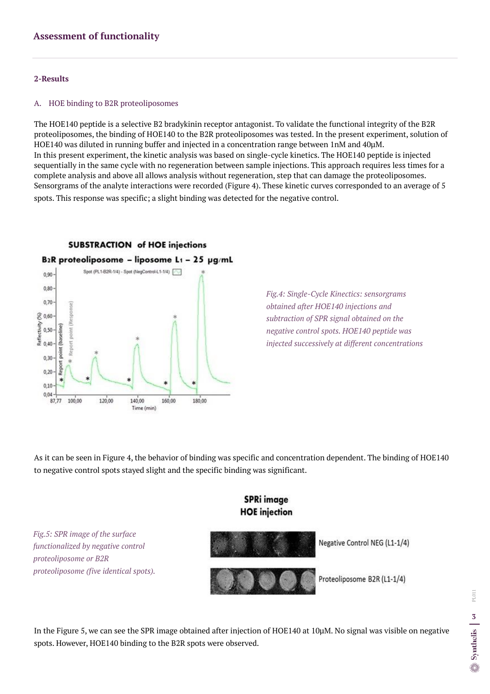## **Assessment of functionality**

#### **2-Results**

#### A. HOE binding to B2R proteoliposomes

The HOE140 peptide is a selective B2 bradykinin receptor antagonist. To validate the functional integrity of the B2R proteoliposomes, the binding of HOE140 to the B2R proteoliposomes was tested. In the present experiment, solution of HOE140 was diluted in running buffer and injected in a concentration range between 1nM and 40µM. In this present experiment, the kinetic analysis was based on single-cycle kinetics. The HOE140 peptide is injected sequentially in the same cycle with no regeneration between sample injections. This approach requires less times for a complete analysis and above all allows analysis without regeneration, step that can damage the proteoliposomes. Sensorgrams of the analyte interactions were recorded (Figure 4). These kinetic curves corresponded to an average of 5 spots. This response was specific; a slight binding was detected for the negative control.



As it can be seen in Figure 4, the behavior of binding was specific and concentration dependent. The binding of HOE140 to negative control spots stayed slight and the specific binding was significant.

# **SPRi image HOE** injection

In the Figure 5, we can see the SPR image obtained after injection of HOE140 at 10µM. No signal was visible on negative spots. However, HOE140 binding to the B2R spots were observed.

*Fig.4: Single-Cycle Kinectics: sensorgrams obtained after HOE140 injections and subtraction of SPR signal obtained on the negative control spots. HOE140 peptide was injected successively at different concentrations* 

*Fig.5: SPR image of the surface functionalized by negative control proteoliposome or B2R proteoliposome (five identical spots).*